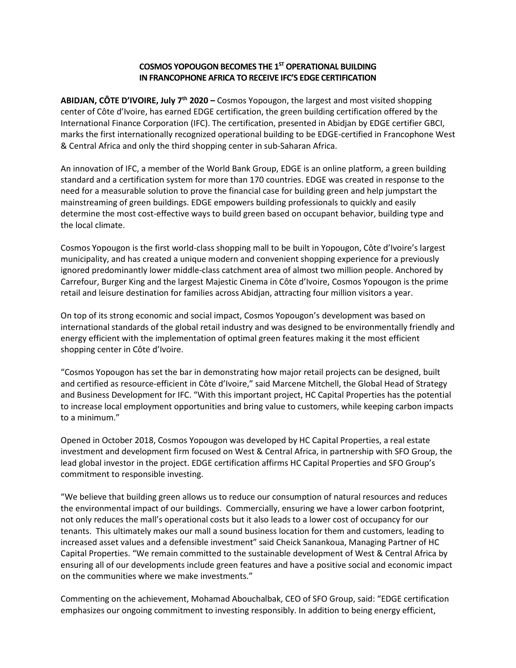# **COSMOS YOPOUGON BECOMES THE 1ST OPERATIONAL BUILDING IN FRANCOPHONE AFRICA TO RECEIVE IFC'S EDGE CERTIFICATION**

**ABIDJAN, CÔTE D'IVOIRE, July 7th 2020 –** Cosmos Yopougon, the largest and most visited shopping center of Côte d'Ivoire, has earned EDGE certification, the green building certification offered by the International Finance Corporation (IFC). The certification, presented in Abidjan by EDGE certifier GBCI, marks the first internationally recognized operational building to be EDGE-certified in Francophone West & Central Africa and only the third shopping center in sub-Saharan Africa.

An innovation of IFC, a member of the World Bank Group, EDGE is an online platform, a green building standard and a certification system for more than 170 countries. EDGE was created in response to the need for a measurable solution to prove the financial case for building green and help jumpstart the mainstreaming of green buildings. EDGE empowers building professionals to quickly and easily determine the most cost-effective ways to build green based on occupant behavior, building type and the local climate.

Cosmos Yopougon is the first world-class shopping mall to be built in Yopougon, Côte d'Ivoire's largest municipality, and has created a unique modern and convenient shopping experience for a previously ignored predominantly lower middle-class catchment area of almost two million people. Anchored by Carrefour, Burger King and the largest Majestic Cinema in Côte d'Ivoire, Cosmos Yopougon is the prime retail and leisure destination for families across Abidjan, attracting four million visitors a year.

On top of its strong economic and social impact, Cosmos Yopougon's development was based on international standards of the global retail industry and was designed to be environmentally friendly and energy efficient with the implementation of optimal green features making it the most efficient shopping center in Côte d'Ivoire.

"Cosmos Yopougon has set the bar in demonstrating how major retail projects can be designed, built and certified as resource-efficient in Côte d'Ivoire," said Marcene Mitchell, the Global Head of Strategy and Business Development for IFC. "With this important project, HC Capital Properties has the potential to increase local employment opportunities and bring value to customers, while keeping carbon impacts to a minimum."

Opened in October 2018, Cosmos Yopougon was developed by HC Capital Properties, a real estate investment and development firm focused on West & Central Africa, in partnership with SFO Group, the lead global investor in the project. EDGE certification affirms HC Capital Properties and SFO Group's commitment to responsible investing.

"We believe that building green allows us to reduce our consumption of natural resources and reduces the environmental impact of our buildings. Commercially, ensuring we have a lower carbon footprint, not only reduces the mall's operational costs but it also leads to a lower cost of occupancy for our tenants. This ultimately makes our mall a sound business location for them and customers, leading to increased asset values and a defensible investment" said Cheick Sanankoua, Managing Partner of HC Capital Properties. "We remain committed to the sustainable development of West & Central Africa by ensuring all of our developments include green features and have a positive social and economic impact on the communities where we make investments."

Commenting on the achievement, Mohamad Abouchalbak, CEO of SFO Group, said: "EDGE certification emphasizes our ongoing commitment to investing responsibly. In addition to being energy efficient,